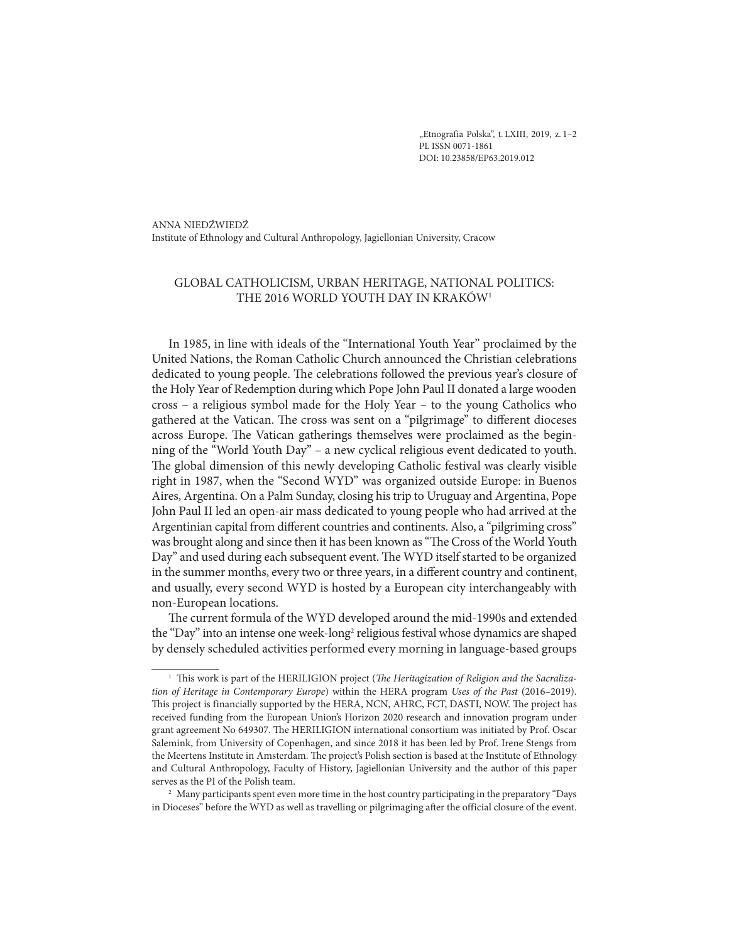"Etnografia Polska", t. LXIII, 2019, z. 1-2 PL ISSN 0071-1861 DOI: 10.23858/EP63.2019.012

ANNA NIEDŹWIEDŹ Institute of Ethnology and Cultural Anthropology, Jagiellonian University, Cracow

# GLOBAL CATHOLICISM, URBAN HERITAGE, NATIONAL POLITICS: THE 2016 WORLD YOUTH DAY IN KRAKÓW1

In 1985, in line with ideals of the "International Youth Year" proclaimed by the United Nations, the Roman Catholic Church announced the Christian celebrations dedicated to young people. The celebrations followed the previous year's closure of the Holy Year of Redemption during which Pope John Paul II donated a large wooden cross – a religious symbol made for the Holy Year – to the young Catholics who gathered at the Vatican. The cross was sent on a "pilgrimage" to different dioceses across Europe. The Vatican gatherings themselves were proclaimed as the beginning of the "World Youth Day" – a new cyclical religious event dedicated to youth. The global dimension of this newly developing Catholic festival was clearly visible right in 1987, when the "Second WYD" was organized outside Europe: in Buenos Aires, Argentina. On a Palm Sunday, closing his trip to Uruguay and Argentina, Pope John Paul II led an open-air mass dedicated to young people who had arrived at the Argentinian capital from different countries and continents. Also, a "pilgriming cross" was brought along and since then it has been known as "The Cross of the World Youth Day" and used during each subsequent event. The WYD itself started to be organized in the summer months, every two or three years, in a different country and continent, and usually, every second WYD is hosted by a European city interchangeably with non-European locations.

The current formula of the WYD developed around the mid-1990s and extended the "Day" into an intense one week-long<sup>2</sup> religious festival whose dynamics are shaped by densely scheduled activities performed every morning in language-based groups

<sup>1</sup> This work is part of the HERILIGION project (*The Heritagization of Religion and the Sacralization of Heritage in Contemporary Europe*) within the HERA program *Uses of the Past* (2016–2019). This project is financially supported by the HERA, NCN, AHRC, FCT, DASTI, NOW. The project has received funding from the European Union's Horizon 2020 research and innovation program under grant agreement No 649307. The HERILIGION international consortium was initiated by Prof. Oscar Salemink, from University of Copenhagen, and since 2018 it has been led by Prof. Irene Stengs from the Meertens Institute in Amsterdam. The project's Polish section is based at the Institute of Ethnology and Cultural Anthropology, Faculty of History, Jagiellonian University and the author of this paper serves as the PI of the Polish team.

<sup>2</sup> Many participants spent even more time in the host country participating in the preparatory "Days in Dioceses" before the WYD as well as travelling or pilgrimaging after the official closure of the event.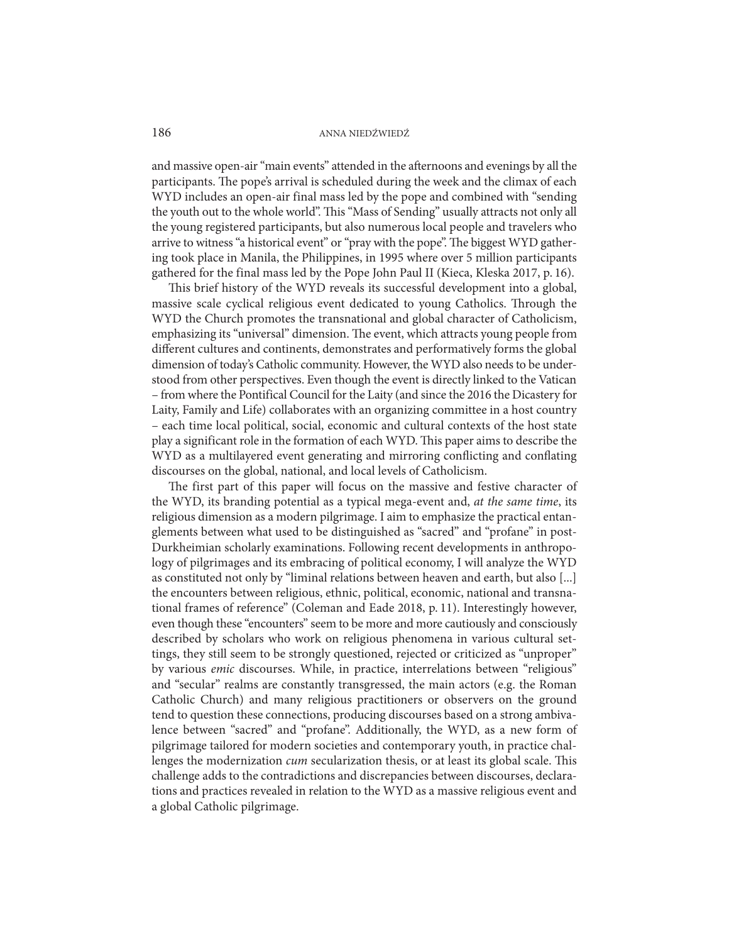and massive open-air "main events" attended in the afternoons and evenings by all the participants. The pope's arrival is scheduled during the week and the climax of each WYD includes an open-air final mass led by the pope and combined with "sending the youth out to the whole world". This "Mass of Sending" usually attracts not only all the young registered participants, but also numerous local people and travelers who arrive to witness "a historical event" or "pray with the pope". The biggest WYD gathering took place in Manila, the Philippines, in 1995 where over 5 million participants gathered for the final mass led by the Pope John Paul II (Kieca, Kleska 2017, p. 16).

This brief history of the WYD reveals its successful development into a global, massive scale cyclical religious event dedicated to young Catholics. Through the WYD the Church promotes the transnational and global character of Catholicism, emphasizing its "universal" dimension. The event, which attracts young people from different cultures and continents, demonstrates and performatively forms the global dimension of today's Catholic community. However, the WYD also needs to be understood from other perspectives. Even though the event is directly linked to the Vatican – from where the Pontifical Council for the Laity (and since the 2016 the Dicastery for Laity, Family and Life) collaborates with an organizing committee in a host country – each time local political, social, economic and cultural contexts of the host state play a significant role in the formation of each WYD. This paper aims to describe the WYD as a multilayered event generating and mirroring conflicting and conflating discourses on the global, national, and local levels of Catholicism.

The first part of this paper will focus on the massive and festive character of the WYD, its branding potential as a typical mega-event and, *at the same time*, its religious dimension as a modern pilgrimage. I aim to emphasize the practical entanglements between what used to be distinguished as "sacred" and "profane" in post-Durkheimian scholarly examinations. Following recent developments in anthropology of pilgrimages and its embracing of political economy, I will analyze the WYD as constituted not only by "liminal relations between heaven and earth, but also [...] the encounters between religious, ethnic, political, economic, national and transnational frames of reference" (Coleman and Eade 2018, p. 11). Interestingly however, even though these "encounters" seem to be more and more cautiously and consciously described by scholars who work on religious phenomena in various cultural settings, they still seem to be strongly questioned, rejected or criticized as "unproper" by various *emic* discourses. While, in practice, interrelations between "religious" and "secular" realms are constantly transgressed, the main actors (e.g. the Roman Catholic Church) and many religious practitioners or observers on the ground tend to question these connections, producing discourses based on a strong ambivalence between "sacred" and "profane". Additionally, the WYD, as a new form of pilgrimage tailored for modern societies and contemporary youth, in practice challenges the modernization *cum* secularization thesis, or at least its global scale. This challenge adds to the contradictions and discrepancies between discourses, declarations and practices revealed in relation to the WYD as a massive religious event and a global Catholic pilgrimage.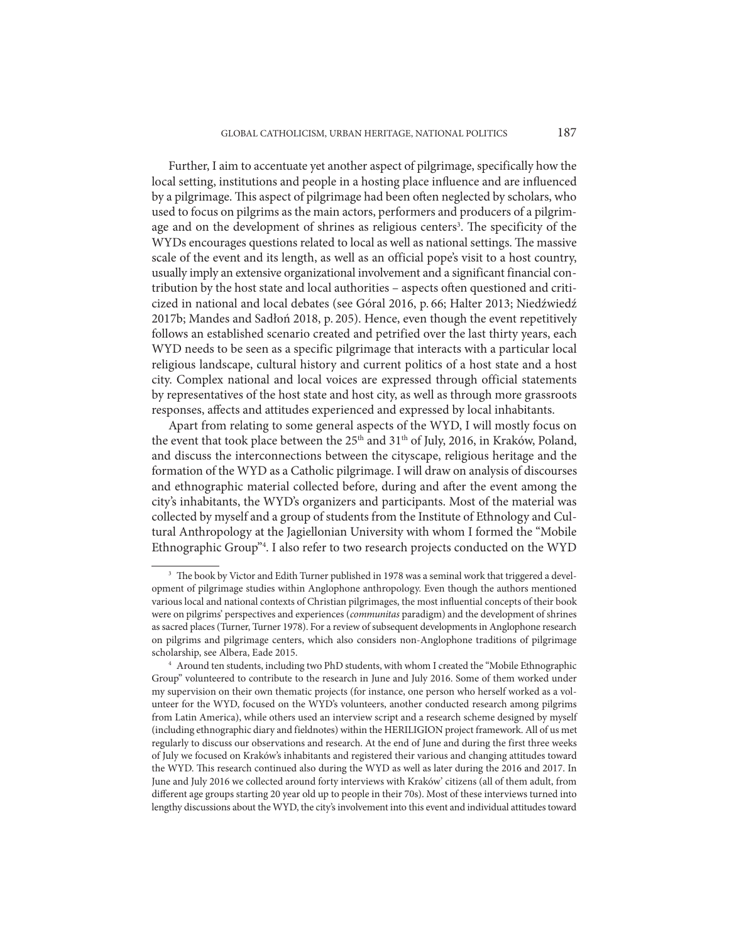Further, I aim to accentuate yet another aspect of pilgrimage, specifically how the local setting, institutions and people in a hosting place influence and are influenced by a pilgrimage. This aspect of pilgrimage had been often neglected by scholars, who used to focus on pilgrims as the main actors, performers and producers of a pilgrimage and on the development of shrines as religious centers<sup>3</sup>. The specificity of the WYDs encourages questions related to local as well as national settings. The massive scale of the event and its length, as well as an official pope's visit to a host country, usually imply an extensive organizational involvement and a significant financial contribution by the host state and local authorities – aspects often questioned and criticized in national and local debates (see Góral 2016, p. 66; Halter 2013; Niedźwiedź 2017b; Mandes and Sadłoń 2018, p. 205). Hence, even though the event repetitively follows an established scenario created and petrified over the last thirty years, each WYD needs to be seen as a specific pilgrimage that interacts with a particular local religious landscape, cultural history and current politics of a host state and a host city. Complex national and local voices are expressed through official statements by representatives of the host state and host city, as well as through more grassroots responses, affects and attitudes experienced and expressed by local inhabitants.

Apart from relating to some general aspects of the WYD, I will mostly focus on the event that took place between the 25<sup>th</sup> and 31<sup>th</sup> of July, 2016, in Kraków, Poland, and discuss the interconnections between the cityscape, religious heritage and the formation of the WYD as a Catholic pilgrimage. I will draw on analysis of discourses and ethnographic material collected before, during and after the event among the city's inhabitants, the WYD's organizers and participants. Most of the material was collected by myself and a group of students from the Institute of Ethnology and Cultural Anthropology at the Jagiellonian University with whom I formed the "Mobile Ethnographic Group"<sup>4</sup>. I also refer to two research projects conducted on the WYD

<sup>&</sup>lt;sup>3</sup> The book by Victor and Edith Turner published in 1978 was a seminal work that triggered a development of pilgrimage studies within Anglophone anthropology. Even though the authors mentioned various local and national contexts of Christian pilgrimages, the most influential concepts of their book were on pilgrims' perspectives and experiences (*communitas* paradigm) and the development of shrines as sacred places (Turner, Turner 1978). For a review of subsequent developments in Anglophone research on pilgrims and pilgrimage centers, which also considers non-Anglophone traditions of pilgrimage scholarship, see Albera, Eade 2015.

<sup>4</sup> Around ten students, including two PhD students, with whom I created the "Mobile Ethnographic Group" volunteered to contribute to the research in June and July 2016. Some of them worked under my supervision on their own thematic projects (for instance, one person who herself worked as a volunteer for the WYD, focused on the WYD's volunteers, another conducted research among pilgrims from Latin America), while others used an interview script and a research scheme designed by myself (including ethnographic diary and fieldnotes) within the HERILIGION project framework. All of us met regularly to discuss our observations and research. At the end of June and during the first three weeks of July we focused on Kraków's inhabitants and registered their various and changing attitudes toward the WYD. This research continued also during the WYD as well as later during the 2016 and 2017. In June and July 2016 we collected around forty interviews with Kraków' citizens (all of them adult, from different age groups starting 20 year old up to people in their 70s). Most of these interviews turned into lengthy discussions about the WYD, the city's involvement into this event and individual attitudes toward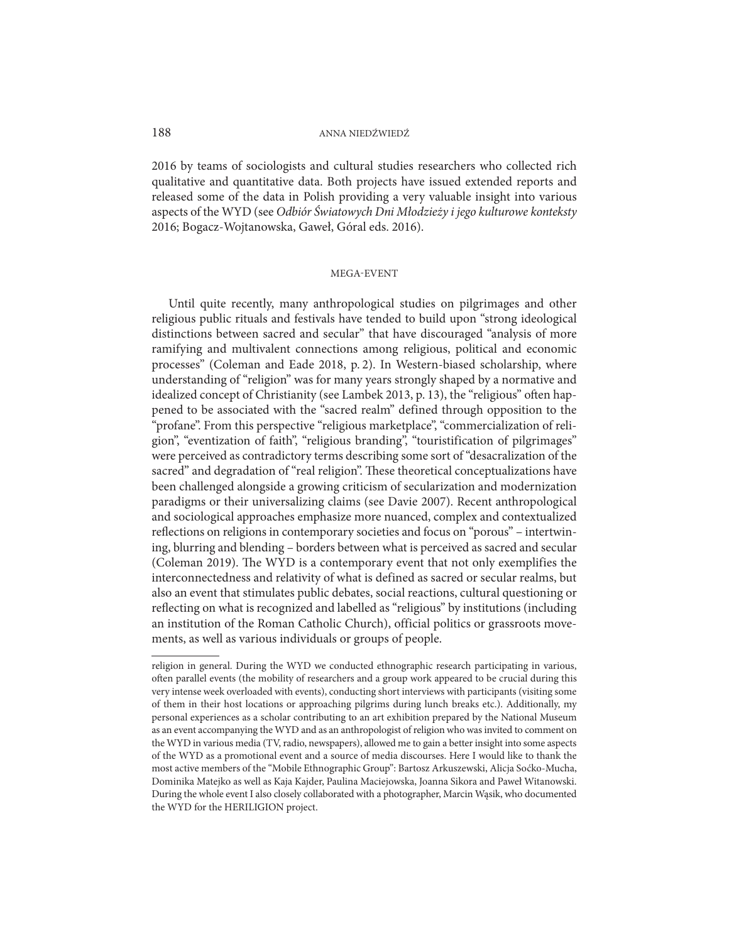2016 by teams of sociologists and cultural studies researchers who collected rich qualitative and quantitative data. Both projects have issued extended reports and released some of the data in Polish providing a very valuable insight into various aspects of the WYD (see *Odbiór Światowych Dni Młodzieży i jego kulturowe konteksty* 2016; Bogacz-Wojtanowska, Gaweł, Góral eds. 2016).

#### MEGA-EVENT

Until quite recently, many anthropological studies on pilgrimages and other religious public rituals and festivals have tended to build upon "strong ideological distinctions between sacred and secular" that have discouraged "analysis of more ramifying and multivalent connections among religious, political and economic processes" (Coleman and Eade 2018, p. 2). In Western-biased scholarship, where understanding of "religion" was for many years strongly shaped by a normative and idealized concept of Christianity (see Lambek 2013, p. 13), the "religious" often happened to be associated with the "sacred realm" defined through opposition to the "profane". From this perspective "religious marketplace", "commercialization of religion", "eventization of faith", "religious branding", "touristification of pilgrimages" were perceived as contradictory terms describing some sort of "desacralization of the sacred" and degradation of "real religion". These theoretical conceptualizations have been challenged alongside a growing criticism of secularization and modernization paradigms or their universalizing claims (see Davie 2007). Recent anthropological and sociological approaches emphasize more nuanced, complex and contextualized reflections on religions in contemporary societies and focus on "porous" – intertwining, blurring and blending – borders between what is perceived as sacred and secular (Coleman 2019). The WYD is a contemporary event that not only exemplifies the interconnectedness and relativity of what is defined as sacred or secular realms, but also an event that stimulates public debates, social reactions, cultural questioning or reflecting on what is recognized and labelled as "religious" by institutions (including an institution of the Roman Catholic Church), official politics or grassroots movements, as well as various individuals or groups of people.

religion in general. During the WYD we conducted ethnographic research participating in various, often parallel events (the mobility of researchers and a group work appeared to be crucial during this very intense week overloaded with events), conducting short interviews with participants (visiting some of them in their host locations or approaching pilgrims during lunch breaks etc.). Additionally, my personal experiences as a scholar contributing to an art exhibition prepared by the National Museum as an event accompanying the WYD and as an anthropologist of religion who was invited to comment on the WYD in various media (TV, radio, newspapers), allowed me to gain a better insight into some aspects of the WYD as a promotional event and a source of media discourses. Here I would like to thank the most active members of the "Mobile Ethnographic Group": Bartosz Arkuszewski, Alicja Soćko-Mucha, Dominika Matejko as well as Kaja Kajder, Paulina Maciejowska, Joanna Sikora and Paweł Witanowski. During the whole event I also closely collaborated with a photographer, Marcin Wąsik, who documented the WYD for the HERILIGION project.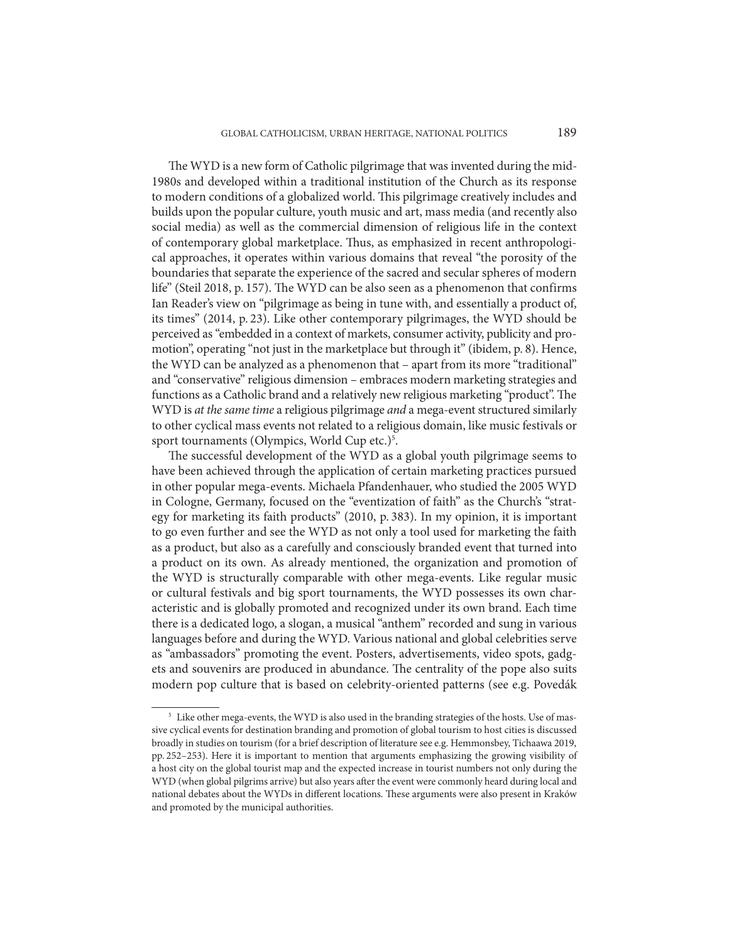The WYD is a new form of Catholic pilgrimage that was invented during the mid-1980s and developed within a traditional institution of the Church as its response to modern conditions of a globalized world. This pilgrimage creatively includes and builds upon the popular culture, youth music and art, mass media (and recently also social media) as well as the commercial dimension of religious life in the context of contemporary global marketplace. Thus, as emphasized in recent anthropological approaches, it operates within various domains that reveal "the porosity of the boundaries that separate the experience of the sacred and secular spheres of modern life" (Steil 2018, p. 157). The WYD can be also seen as a phenomenon that confirms Ian Reader's view on "pilgrimage as being in tune with, and essentially a product of, its times" (2014, p. 23). Like other contemporary pilgrimages, the WYD should be perceived as "embedded in a context of markets, consumer activity, publicity and promotion", operating "not just in the marketplace but through it" (ibidem, p. 8). Hence, the WYD can be analyzed as a phenomenon that – apart from its more "traditional" and "conservative" religious dimension – embraces modern marketing strategies and functions as a Catholic brand and a relatively new religious marketing "product". The WYD is *at the same time* a religious pilgrimage *and* a mega-event structured similarly to other cyclical mass events not related to a religious domain, like music festivals or sport tournaments (Olympics, World Cup etc.)<sup>5</sup>.

The successful development of the WYD as a global youth pilgrimage seems to have been achieved through the application of certain marketing practices pursued in other popular mega-events. Michaela Pfandenhauer, who studied the 2005 WYD in Cologne, Germany, focused on the "eventization of faith" as the Church's "strategy for marketing its faith products" (2010, p. 383). In my opinion, it is important to go even further and see the WYD as not only a tool used for marketing the faith as a product, but also as a carefully and consciously branded event that turned into a product on its own. As already mentioned, the organization and promotion of the WYD is structurally comparable with other mega-events. Like regular music or cultural festivals and big sport tournaments, the WYD possesses its own characteristic and is globally promoted and recognized under its own brand. Each time there is a dedicated logo, a slogan, a musical "anthem" recorded and sung in various languages before and during the WYD. Various national and global celebrities serve as "ambassadors" promoting the event. Posters, advertisements, video spots, gadgets and souvenirs are produced in abundance. The centrality of the pope also suits modern pop culture that is based on celebrity-oriented patterns (see e.g. Povedák

<sup>&</sup>lt;sup>5</sup> Like other mega-events, the WYD is also used in the branding strategies of the hosts. Use of massive cyclical events for destination branding and promotion of global tourism to host cities is discussed broadly in studies on tourism (for a brief description of literature see e.g. Hemmonsbey, Tichaawa 2019, pp. 252–253). Here it is important to mention that arguments emphasizing the growing visibility of a host city on the global tourist map and the expected increase in tourist numbers not only during the WYD (when global pilgrims arrive) but also years after the event were commonly heard during local and national debates about the WYDs in different locations. These arguments were also present in Kraków and promoted by the municipal authorities.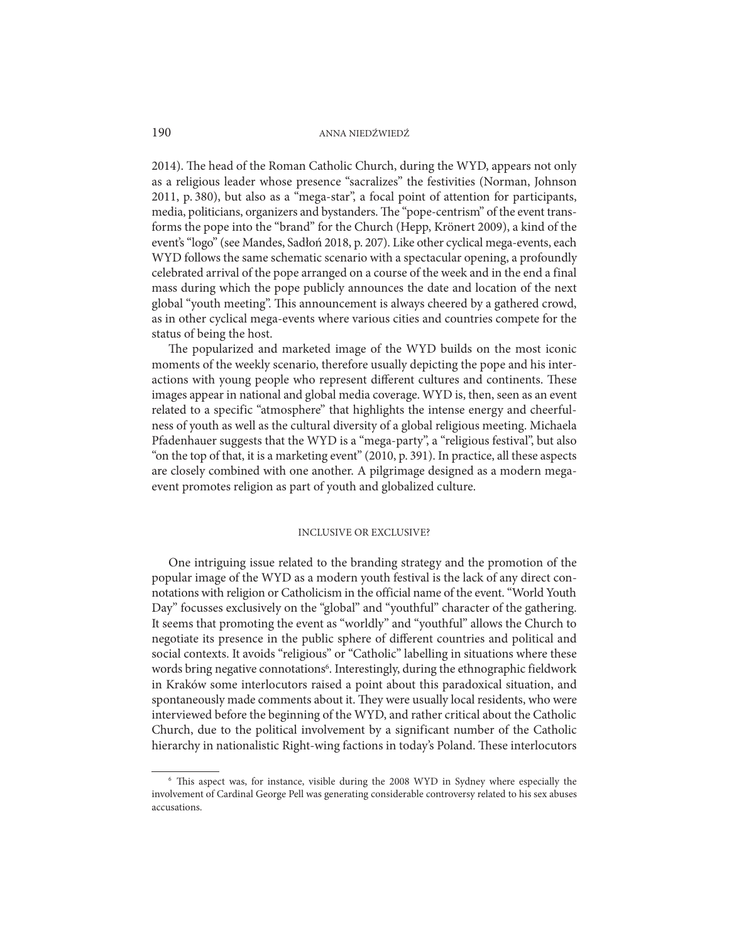2014). The head of the Roman Catholic Church, during the WYD, appears not only as a religious leader whose presence "sacralizes" the festivities (Norman, Johnson 2011, p. 380), but also as a "mega-star", a focal point of attention for participants, media, politicians, organizers and bystanders. The "pope-centrism" of the event transforms the pope into the "brand" for the Church (Hepp, Krönert 2009), a kind of the event's "logo" (see Mandes, Sadłoń 2018, p. 207). Like other cyclical mega-events, each WYD follows the same schematic scenario with a spectacular opening, a profoundly celebrated arrival of the pope arranged on a course of the week and in the end a final mass during which the pope publicly announces the date and location of the next global "youth meeting". This announcement is always cheered by a gathered crowd, as in other cyclical mega-events where various cities and countries compete for the status of being the host.

The popularized and marketed image of the WYD builds on the most iconic moments of the weekly scenario, therefore usually depicting the pope and his interactions with young people who represent different cultures and continents. These images appear in national and global media coverage. WYD is, then, seen as an event related to a specific "atmosphere" that highlights the intense energy and cheerfulness of youth as well as the cultural diversity of a global religious meeting. Michaela Pfadenhauer suggests that the WYD is a "mega-party", a "religious festival", but also "on the top of that, it is a marketing event" (2010, p. 391). In practice, all these aspects are closely combined with one another. A pilgrimage designed as a modern megaevent promotes religion as part of youth and globalized culture.

#### INCLUSIVE OR EXCLUSIVE?

One intriguing issue related to the branding strategy and the promotion of the popular image of the WYD as a modern youth festival is the lack of any direct connotations with religion or Catholicism in the official name of the event. "World Youth Day" focusses exclusively on the "global" and "youthful" character of the gathering. It seems that promoting the event as "worldly" and "youthful" allows the Church to negotiate its presence in the public sphere of different countries and political and social contexts. It avoids "religious" or "Catholic" labelling in situations where these words bring negative connotations<sup>6</sup>. Interestingly, during the ethnographic fieldwork in Kraków some interlocutors raised a point about this paradoxical situation, and spontaneously made comments about it. They were usually local residents, who were interviewed before the beginning of the WYD, and rather critical about the Catholic Church, due to the political involvement by a significant number of the Catholic hierarchy in nationalistic Right-wing factions in today's Poland. These interlocutors

<sup>6</sup> This aspect was, for instance, visible during the 2008 WYD in Sydney where especially the involvement of Cardinal George Pell was generating considerable controversy related to his sex abuses accusations.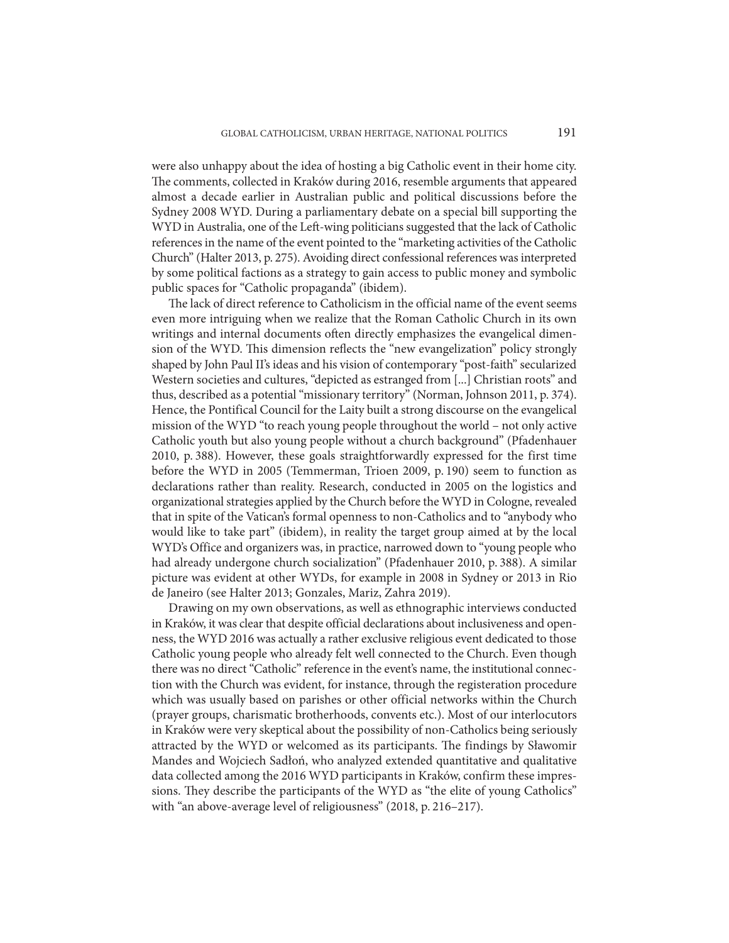were also unhappy about the idea of hosting a big Catholic event in their home city. The comments, collected in Kraków during 2016, resemble arguments that appeared almost a decade earlier in Australian public and political discussions before the Sydney 2008 WYD. During a parliamentary debate on a special bill supporting the WYD in Australia, one of the Left-wing politicians suggested that the lack of Catholic references in the name of the event pointed to the "marketing activities of the Catholic Church" (Halter 2013, p. 275). Avoiding direct confessional references was interpreted by some political factions as a strategy to gain access to public money and symbolic public spaces for "Catholic propaganda" (ibidem).

The lack of direct reference to Catholicism in the official name of the event seems even more intriguing when we realize that the Roman Catholic Church in its own writings and internal documents often directly emphasizes the evangelical dimension of the WYD. This dimension reflects the "new evangelization" policy strongly shaped by John Paul II's ideas and his vision of contemporary "post-faith" secularized Western societies and cultures, "depicted as estranged from [...] Christian roots" and thus, described as a potential "missionary territory" (Norman, Johnson 2011, p. 374). Hence, the Pontifical Council for the Laity built a strong discourse on the evangelical mission of the WYD "to reach young people throughout the world – not only active Catholic youth but also young people without a church background" (Pfadenhauer 2010, p. 388). However, these goals straightforwardly expressed for the first time before the WYD in 2005 (Temmerman, Trioen 2009, p. 190) seem to function as declarations rather than reality. Research, conducted in 2005 on the logistics and organizational strategies applied by the Church before the WYD in Cologne, revealed that in spite of the Vatican's formal openness to non-Catholics and to "anybody who would like to take part" (ibidem), in reality the target group aimed at by the local WYD's Office and organizers was, in practice, narrowed down to "young people who had already undergone church socialization" (Pfadenhauer 2010, p. 388). A similar picture was evident at other WYDs, for example in 2008 in Sydney or 2013 in Rio de Janeiro (see Halter 2013; Gonzales, Mariz, Zahra 2019).

Drawing on my own observations, as well as ethnographic interviews conducted in Kraków, it was clear that despite official declarations about inclusiveness and openness, the WYD 2016 was actually a rather exclusive religious event dedicated to those Catholic young people who already felt well connected to the Church. Even though there was no direct "Catholic" reference in the event's name, the institutional connection with the Church was evident, for instance, through the registeration procedure which was usually based on parishes or other official networks within the Church (prayer groups, charismatic brotherhoods, convents etc.). Most of our interlocutors in Kraków were very skeptical about the possibility of non-Catholics being seriously attracted by the WYD or welcomed as its participants. The findings by Sławomir Mandes and Wojciech Sadłoń, who analyzed extended quantitative and qualitative data collected among the 2016 WYD participants in Kraków, confirm these impressions. They describe the participants of the WYD as "the elite of young Catholics" with "an above-average level of religiousness" (2018, p. 216–217).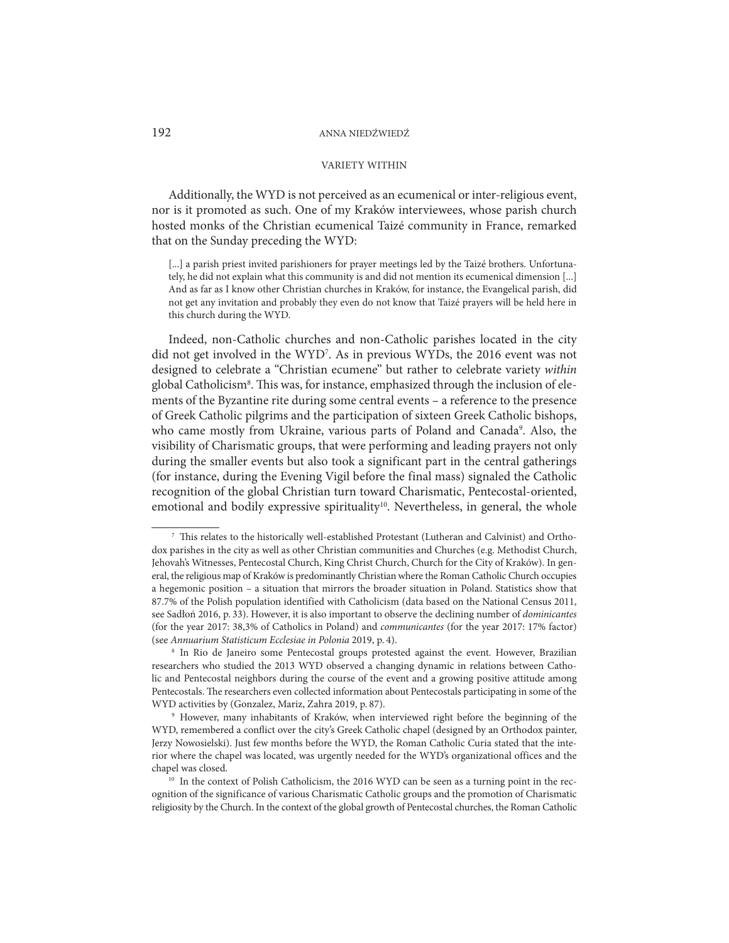# VARIETY WITHIN

Additionally, the WYD is not perceived as an ecumenical or inter-religious event, nor is it promoted as such. One of my Kraków interviewees, whose parish church hosted monks of the Christian ecumenical Taizé community in France, remarked that on the Sunday preceding the WYD:

[...] a parish priest invited parishioners for prayer meetings led by the Taizé brothers. Unfortunately, he did not explain what this community is and did not mention its ecumenical dimension [...] And as far as I know other Christian churches in Kraków, for instance, the Evangelical parish, did not get any invitation and probably they even do not know that Taizé prayers will be held here in this church during the WYD.

Indeed, non-Catholic churches and non-Catholic parishes located in the city did not get involved in the WYD7 . As in previous WYDs, the 2016 event was not designed to celebrate a "Christian ecumene" but rather to celebrate variety *within* global Catholicism<sup>8</sup>. This was, for instance, emphasized through the inclusion of elements of the Byzantine rite during some central events – a reference to the presence of Greek Catholic pilgrims and the participation of sixteen Greek Catholic bishops, who came mostly from Ukraine, various parts of Poland and Canada<sup>9</sup>. Also, the visibility of Charismatic groups, that were performing and leading prayers not only during the smaller events but also took a significant part in the central gatherings (for instance, during the Evening Vigil before the final mass) signaled the Catholic recognition of the global Christian turn toward Charismatic, Pentecostal-oriented, emotional and bodily expressive spirituality<sup>10</sup>. Nevertheless, in general, the whole

 <sup>7</sup> This relates to the historically well-established Protestant (Lutheran and Calvinist) and Orthodox parishes in the city as well as other Christian communities and Churches (e.g. Methodist Church, Jehovah's Witnesses, Pentecostal Church, King Christ Church, Church for the City of Kraków). In general, the religious map of Kraków is predominantly Christian where the Roman Catholic Church occupies a hegemonic position – a situation that mirrors the broader situation in Poland. Statistics show that 87.7% of the Polish population identified with Catholicism (data based on the National Census 2011, see Sadłoń 2016, p. 33). However, it is also important to observe the declining number of *dominicantes* (for the year 2017: 38,3% of Catholics in Poland) and *communicantes* (for the year 2017: 17% factor) (see *Annuarium Statisticum Ecclesiae in Polonia* 2019, p. 4). 8 In Rio de Janeiro some Pentecostal groups protested against the event. However, Brazilian

researchers who studied the 2013 WYD observed a changing dynamic in relations between Catholic and Pentecostal neighbors during the course of the event and a growing positive attitude among Pentecostals. The researchers even collected information about Pentecostals participating in some of the

<sup>&</sup>lt;sup>9</sup> However, many inhabitants of Kraków, when interviewed right before the beginning of the WYD, remembered a conflict over the city's Greek Catholic chapel (designed by an Orthodox painter, Jerzy Nowosielski). Just few months before the WYD, the Roman Catholic Curia stated that the interior where the chapel was located, was urgently needed for the WYD's organizational offices and the chapel was closed.

<sup>&</sup>lt;sup>10</sup> In the context of Polish Catholicism, the 2016 WYD can be seen as a turning point in the recognition of the significance of various Charismatic Catholic groups and the promotion of Charismatic religiosity by the Church. In the context of the global growth of Pentecostal churches, the Roman Catholic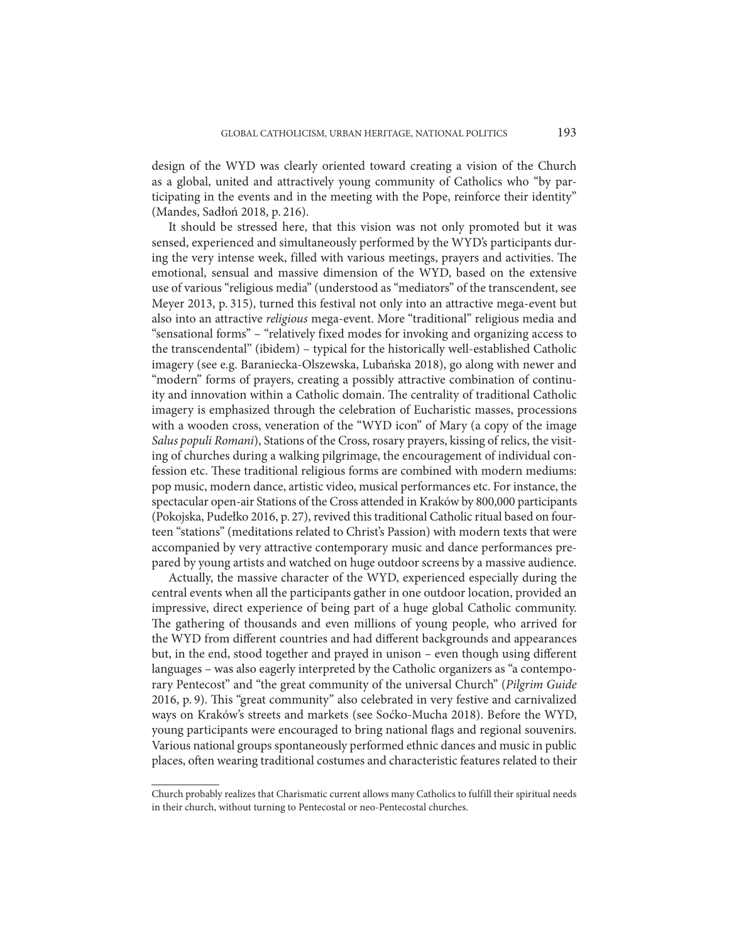design of the WYD was clearly oriented toward creating a vision of the Church as a global, united and attractively young community of Catholics who "by participating in the events and in the meeting with the Pope, reinforce their identity" (Mandes, Sadłoń 2018, p. 216).

It should be stressed here, that this vision was not only promoted but it was sensed, experienced and simultaneously performed by the WYD's participants during the very intense week, filled with various meetings, prayers and activities. The emotional, sensual and massive dimension of the WYD, based on the extensive use of various "religious media" (understood as "mediators" of the transcendent, see Meyer 2013, p. 315), turned this festival not only into an attractive mega-event but also into an attractive *religious* mega-event. More "traditional" religious media and "sensational forms" – "relatively fixed modes for invoking and organizing access to the transcendental" (ibidem) – typical for the historically well-established Catholic imagery (see e.g. Baraniecka-Olszewska, Lubańska 2018), go along with newer and "modern" forms of prayers, creating a possibly attractive combination of continuity and innovation within a Catholic domain. The centrality of traditional Catholic imagery is emphasized through the celebration of Eucharistic masses, processions with a wooden cross, veneration of the "WYD icon" of Mary (a copy of the image *Salus populi Romani*), Stations of the Cross, rosary prayers, kissing of relics, the visiting of churches during a walking pilgrimage, the encouragement of individual confession etc. These traditional religious forms are combined with modern mediums: pop music, modern dance, artistic video, musical performances etc. For instance, the spectacular open-air Stations of the Cross attended in Kraków by 800,000 participants (Pokojska, Pudełko 2016, p. 27), revived this traditional Catholic ritual based on fourteen "stations" (meditations related to Christ's Passion) with modern texts that were accompanied by very attractive contemporary music and dance performances prepared by young artists and watched on huge outdoor screens by a massive audience.

Actually, the massive character of the WYD, experienced especially during the central events when all the participants gather in one outdoor location, provided an impressive, direct experience of being part of a huge global Catholic community. The gathering of thousands and even millions of young people, who arrived for the WYD from different countries and had different backgrounds and appearances but, in the end, stood together and prayed in unison – even though using different languages – was also eagerly interpreted by the Catholic organizers as "a contemporary Pentecost" and "the great community of the universal Church" (*Pilgrim Guide* 2016, p. 9). This "great community" also celebrated in very festive and carnivalized ways on Kraków's streets and markets (see Soćko-Mucha 2018). Before the WYD, young participants were encouraged to bring national flags and regional souvenirs. Various national groups spontaneously performed ethnic dances and music in public places, often wearing traditional costumes and characteristic features related to their

Church probably realizes that Charismatic current allows many Catholics to fulfill their spiritual needs in their church, without turning to Pentecostal or neo-Pentecostal churches.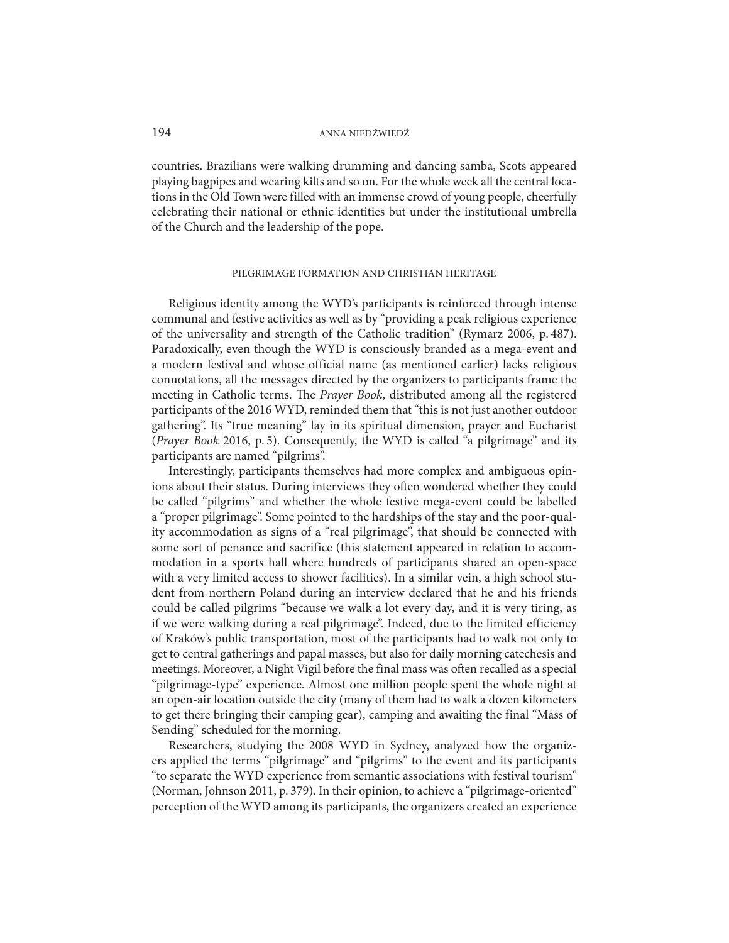countries. Brazilians were walking drumming and dancing samba, Scots appeared playing bagpipes and wearing kilts and so on. For the whole week all the central locations in the Old Town were filled with an immense crowd of young people, cheerfully celebrating their national or ethnic identities but under the institutional umbrella of the Church and the leadership of the pope.

#### PILGRIMAGE FORMATION AND CHRISTIAN HERITAGE

Religious identity among the WYD's participants is reinforced through intense communal and festive activities as well as by "providing a peak religious experience of the universality and strength of the Catholic tradition" (Rymarz 2006, p. 487). Paradoxically, even though the WYD is consciously branded as a mega-event and a modern festival and whose official name (as mentioned earlier) lacks religious connotations, all the messages directed by the organizers to participants frame the meeting in Catholic terms. The *Prayer Book*, distributed among all the registered participants of the 2016 WYD, reminded them that "this is not just another outdoor gathering". Its "true meaning" lay in its spiritual dimension, prayer and Eucharist (*Prayer Book* 2016, p. 5). Consequently, the WYD is called "a pilgrimage" and its participants are named "pilgrims".

Interestingly, participants themselves had more complex and ambiguous opinions about their status. During interviews they often wondered whether they could be called "pilgrims" and whether the whole festive mega-event could be labelled a "proper pilgrimage". Some pointed to the hardships of the stay and the poor-quality accommodation as signs of a "real pilgrimage", that should be connected with some sort of penance and sacrifice (this statement appeared in relation to accommodation in a sports hall where hundreds of participants shared an open-space with a very limited access to shower facilities). In a similar vein, a high school student from northern Poland during an interview declared that he and his friends could be called pilgrims "because we walk a lot every day, and it is very tiring, as if we were walking during a real pilgrimage". Indeed, due to the limited efficiency of Kraków's public transportation, most of the participants had to walk not only to get to central gatherings and papal masses, but also for daily morning catechesis and meetings. Moreover, a Night Vigil before the final mass was often recalled as a special "pilgrimage-type" experience. Almost one million people spent the whole night at an open-air location outside the city (many of them had to walk a dozen kilometers to get there bringing their camping gear), camping and awaiting the final "Mass of Sending" scheduled for the morning.

Researchers, studying the 2008 WYD in Sydney, analyzed how the organizers applied the terms "pilgrimage" and "pilgrims" to the event and its participants "to separate the WYD experience from semantic associations with festival tourism" (Norman, Johnson 2011, p. 379). In their opinion, to achieve a "pilgrimage-oriented" perception of the WYD among its participants, the organizers created an experience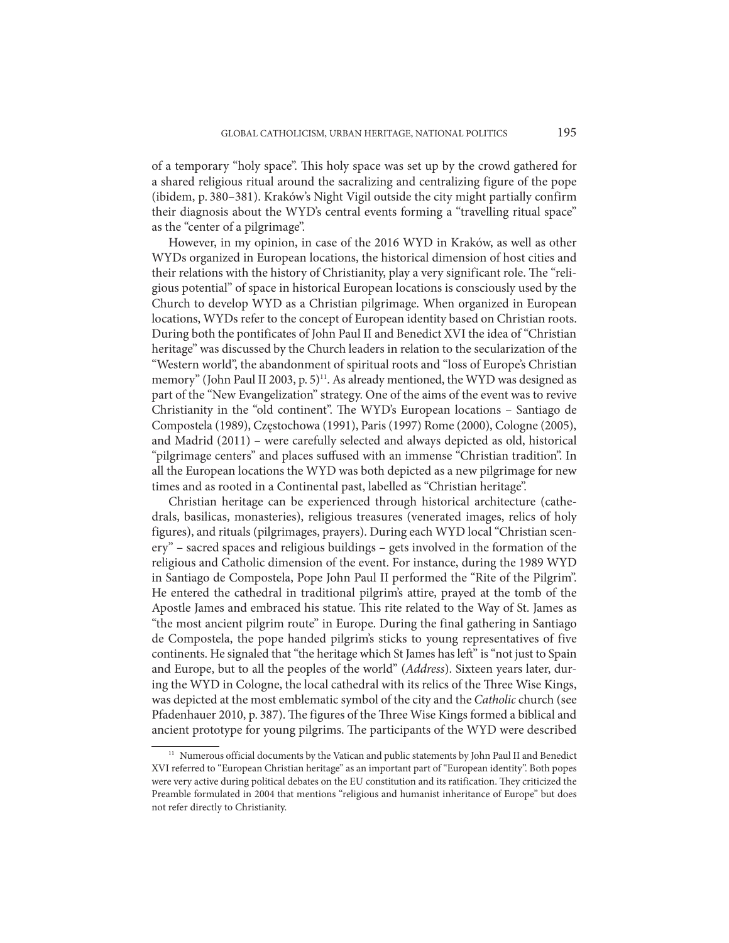of a temporary "holy space". This holy space was set up by the crowd gathered for a shared religious ritual around the sacralizing and centralizing figure of the pope (ibidem, p. 380–381). Kraków's Night Vigil outside the city might partially confirm their diagnosis about the WYD's central events forming a "travelling ritual space" as the "center of a pilgrimage".

However, in my opinion, in case of the 2016 WYD in Kraków, as well as other WYDs organized in European locations, the historical dimension of host cities and their relations with the history of Christianity, play a very significant role. The "religious potential" of space in historical European locations is consciously used by the Church to develop WYD as a Christian pilgrimage. When organized in European locations, WYDs refer to the concept of European identity based on Christian roots. During both the pontificates of John Paul II and Benedict XVI the idea of "Christian heritage" was discussed by the Church leaders in relation to the secularization of the "Western world", the abandonment of spiritual roots and "loss of Europe's Christian memory" (John Paul II 2003, p. 5)<sup>11</sup>. As already mentioned, the WYD was designed as part of the "New Evangelization" strategy. One of the aims of the event was to revive Christianity in the "old continent". The WYD's European locations – Santiago de Compostela (1989), Częstochowa (1991), Paris (1997) Rome (2000), Cologne (2005), and Madrid (2011) – were carefully selected and always depicted as old, historical "pilgrimage centers" and places suffused with an immense "Christian tradition". In all the European locations the WYD was both depicted as a new pilgrimage for new times and as rooted in a Continental past, labelled as "Christian heritage".

Christian heritage can be experienced through historical architecture (cathedrals, basilicas, monasteries), religious treasures (venerated images, relics of holy figures), and rituals (pilgrimages, prayers). During each WYD local "Christian scenery" – sacred spaces and religious buildings – gets involved in the formation of the religious and Catholic dimension of the event. For instance, during the 1989 WYD in Santiago de Compostela, Pope John Paul II performed the "Rite of the Pilgrim". He entered the cathedral in traditional pilgrim's attire, prayed at the tomb of the Apostle James and embraced his statue. This rite related to the Way of St. James as "the most ancient pilgrim route" in Europe. During the final gathering in Santiago de Compostela, the pope handed pilgrim's sticks to young representatives of five continents. He signaled that "the heritage which St James has left" is "not just to Spain and Europe, but to all the peoples of the world" (*Address*). Sixteen years later, during the WYD in Cologne, the local cathedral with its relics of the Three Wise Kings, was depicted at the most emblematic symbol of the city and the *Catholic* church (see Pfadenhauer 2010, p. 387). The figures of the Three Wise Kings formed a biblical and ancient prototype for young pilgrims. The participants of the WYD were described

<sup>&</sup>lt;sup>11</sup> Numerous official documents by the Vatican and public statements by John Paul II and Benedict XVI referred to "European Christian heritage" as an important part of "European identity". Both popes were very active during political debates on the EU constitution and its ratification. They criticized the Preamble formulated in 2004 that mentions "religious and humanist inheritance of Europe" but does not refer directly to Christianity.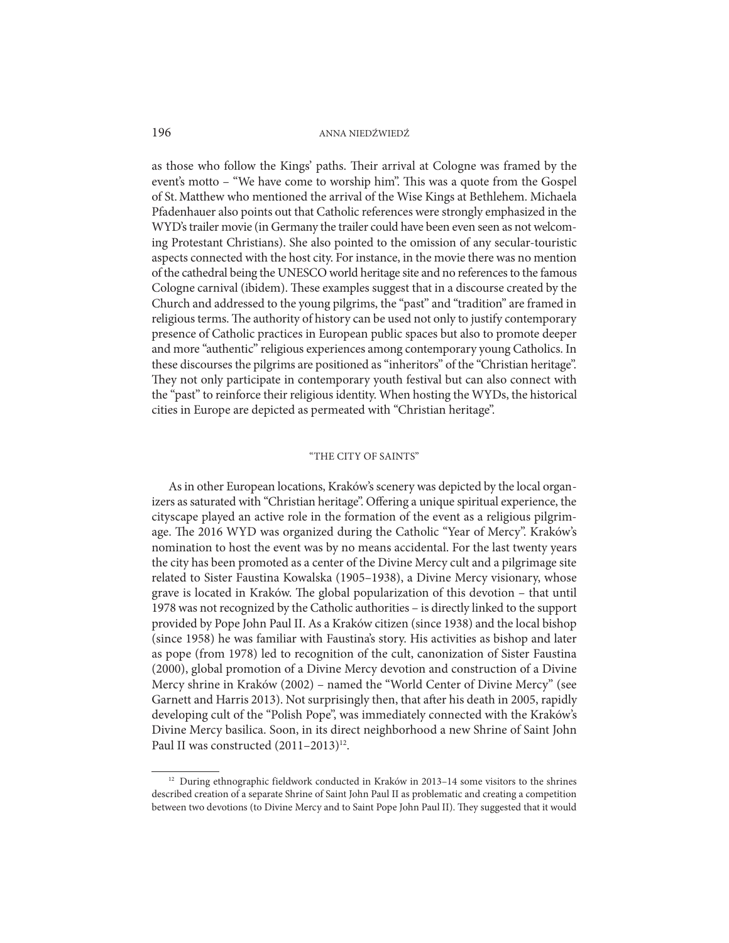as those who follow the Kings' paths. Their arrival at Cologne was framed by the event's motto – "We have come to worship him". This was a quote from the Gospel of St. Matthew who mentioned the arrival of the Wise Kings at Bethlehem. Michaela Pfadenhauer also points out that Catholic references were strongly emphasized in the WYD's trailer movie (in Germany the trailer could have been even seen as not welcoming Protestant Christians). She also pointed to the omission of any secular-touristic aspects connected with the host city. For instance, in the movie there was no mention of the cathedral being the UNESCO world heritage site and no references to the famous Cologne carnival (ibidem). These examples suggest that in a discourse created by the Church and addressed to the young pilgrims, the "past" and "tradition" are framed in religious terms. The authority of history can be used not only to justify contemporary presence of Catholic practices in European public spaces but also to promote deeper and more "authentic" religious experiences among contemporary young Catholics. In these discourses the pilgrims are positioned as "inheritors" of the "Christian heritage". They not only participate in contemporary youth festival but can also connect with the "past" to reinforce their religious identity. When hosting the WYDs, the historical cities in Europe are depicted as permeated with "Christian heritage".

# "THE CITY OF SAINTS"

As in other European locations, Kraków's scenery was depicted by the local organizers as saturated with "Christian heritage". Offering a unique spiritual experience, the cityscape played an active role in the formation of the event as a religious pilgrimage. The 2016 WYD was organized during the Catholic "Year of Mercy". Kraków's nomination to host the event was by no means accidental. For the last twenty years the city has been promoted as a center of the Divine Mercy cult and a pilgrimage site related to Sister Faustina Kowalska (1905–1938), a Divine Mercy visionary, whose grave is located in Kraków. The global popularization of this devotion – that until 1978 was not recognized by the Catholic authorities – is directly linked to the support provided by Pope John Paul II. As a Kraków citizen (since 1938) and the local bishop (since 1958) he was familiar with Faustina's story. His activities as bishop and later as pope (from 1978) led to recognition of the cult, canonization of Sister Faustina (2000), global promotion of a Divine Mercy devotion and construction of a Divine Mercy shrine in Kraków (2002) – named the "World Center of Divine Mercy" (see Garnett and Harris 2013). Not surprisingly then, that after his death in 2005, rapidly developing cult of the "Polish Pope", was immediately connected with the Kraków's Divine Mercy basilica. Soon, in its direct neighborhood a new Shrine of Saint John Paul II was constructed (2011-2013)<sup>12</sup>.

<sup>&</sup>lt;sup>12</sup> During ethnographic fieldwork conducted in Kraków in 2013–14 some visitors to the shrines described creation of a separate Shrine of Saint John Paul II as problematic and creating a competition between two devotions (to Divine Mercy and to Saint Pope John Paul II). They suggested that it would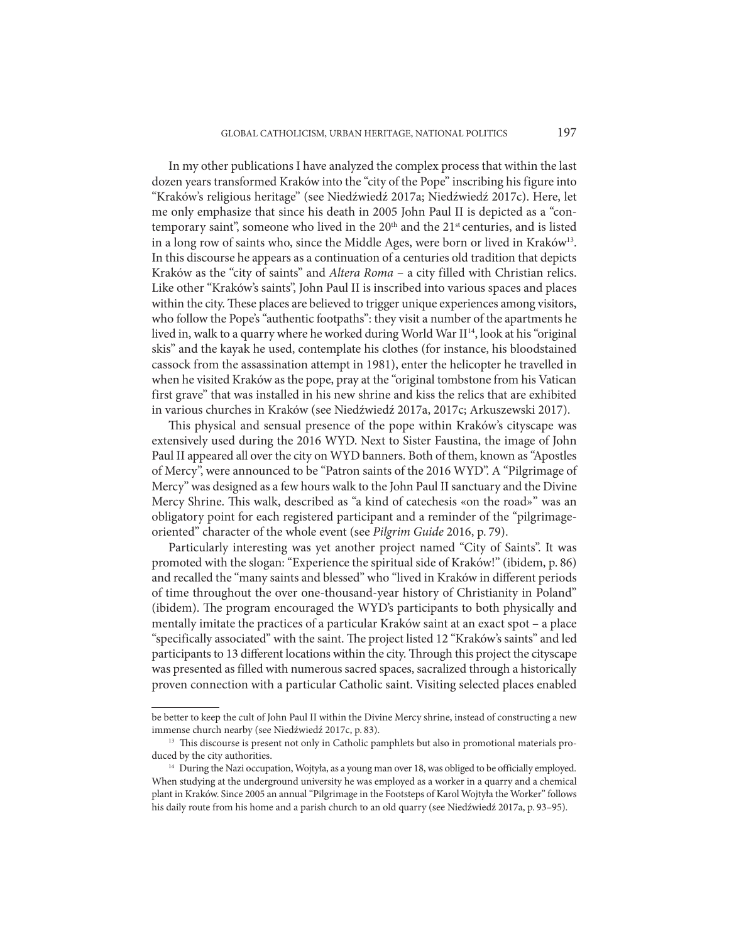In my other publications I have analyzed the complex process that within the last dozen years transformed Kraków into the "city of the Pope" inscribing his figure into "Kraków's religious heritage" (see Niedźwiedź 2017a; Niedźwiedź 2017c). Here, let me only emphasize that since his death in 2005 John Paul II is depicted as a "contemporary saint", someone who lived in the  $20<sup>th</sup>$  and the  $21<sup>st</sup>$  centuries, and is listed in a long row of saints who, since the Middle Ages, were born or lived in Kraków<sup>13</sup>. In this discourse he appears as a continuation of a centuries old tradition that depicts Kraków as the "city of saints" and *Altera Roma* – a city filled with Christian relics. Like other "Kraków's saints", John Paul II is inscribed into various spaces and places within the city. These places are believed to trigger unique experiences among visitors, who follow the Pope's "authentic footpaths": they visit a number of the apartments he lived in, walk to a quarry where he worked during World War II<sup>14</sup>, look at his "original skis" and the kayak he used, contemplate his clothes (for instance, his bloodstained cassock from the assassination attempt in 1981), enter the helicopter he travelled in when he visited Kraków as the pope, pray at the "original tombstone from his Vatican first grave" that was installed in his new shrine and kiss the relics that are exhibited in various churches in Kraków (see Niedźwiedź 2017a, 2017c; Arkuszewski 2017).

This physical and sensual presence of the pope within Kraków's cityscape was extensively used during the 2016 WYD. Next to Sister Faustina, the image of John Paul II appeared all over the city on WYD banners. Both of them, known as "Apostles of Mercy", were announced to be "Patron saints of the 2016 WYD". A "Pilgrimage of Mercy" was designed as a few hours walk to the John Paul II sanctuary and the Divine Mercy Shrine. This walk, described as "a kind of catechesis «on the road»" was an obligatory point for each registered participant and a reminder of the "pilgrimageoriented" character of the whole event (see *Pilgrim Guide* 2016, p. 79).

Particularly interesting was yet another project named "City of Saints". It was promoted with the slogan: "Experience the spiritual side of Kraków!" (ibidem, p. 86) and recalled the "many saints and blessed" who "lived in Kraków in different periods of time throughout the over one-thousand-year history of Christianity in Poland" (ibidem). The program encouraged the WYD's participants to both physically and mentally imitate the practices of a particular Kraków saint at an exact spot – a place "specifically associated" with the saint. The project listed 12 "Kraków's saints" and led participants to 13 different locations within the city. Through this project the cityscape was presented as filled with numerous sacred spaces, sacralized through a historically proven connection with a particular Catholic saint. Visiting selected places enabled

be better to keep the cult of John Paul II within the Divine Mercy shrine, instead of constructing a new immense church nearby (see Niedźwiedź 2017c, p. 83).

<sup>&</sup>lt;sup>13</sup> This discourse is present not only in Catholic pamphlets but also in promotional materials produced by the city authorities.

<sup>&</sup>lt;sup>14</sup> During the Nazi occupation, Wojtyła, as a young man over 18, was obliged to be officially employed. When studying at the underground university he was employed as a worker in a quarry and a chemical plant in Kraków. Since 2005 an annual "Pilgrimage in the Footsteps of Karol Wojtyła the Worker" follows his daily route from his home and a parish church to an old quarry (see Niedźwiedź 2017a, p. 93–95).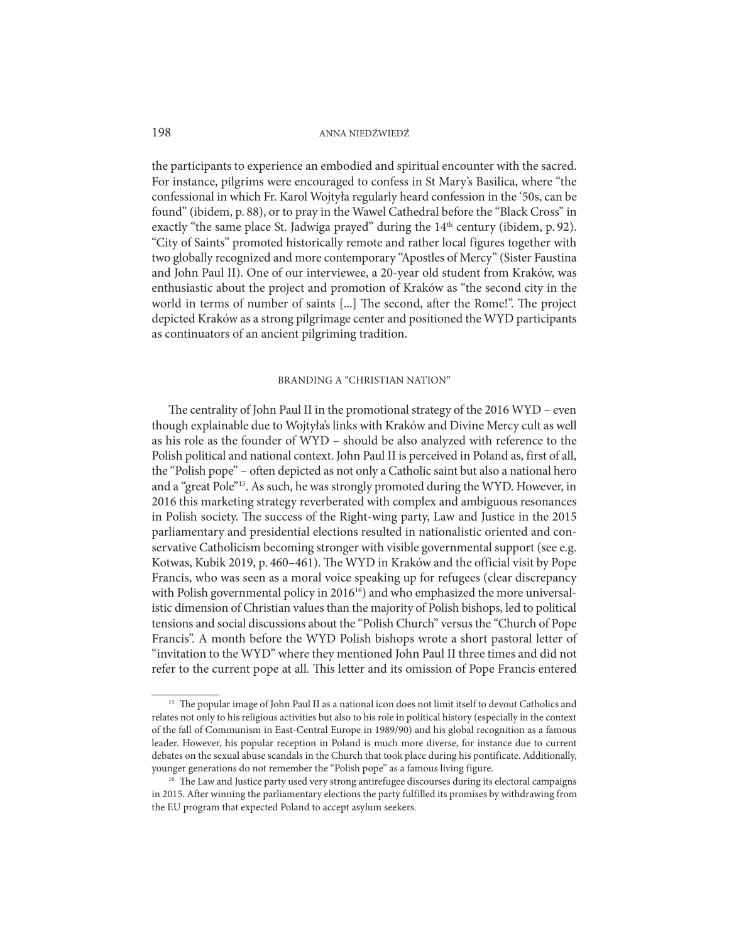the participants to experience an embodied and spiritual encounter with the sacred. For instance, pilgrims were encouraged to confess in St Mary's Basilica, where "the confessional in which Fr. Karol Wojtyła regularly heard confession in the '50s, can be found" (ibidem, p. 88), or to pray in the Wawel Cathedral before the "Black Cross" in exactly "the same place St. Jadwiga prayed" during the 14<sup>th</sup> century (ibidem, p. 92). "City of Saints" promoted historically remote and rather local figures together with two globally recognized and more contemporary "Apostles of Mercy" (Sister Faustina and John Paul II). One of our interviewee, a 20-year old student from Kraków, was enthusiastic about the project and promotion of Kraków as "the second city in the world in terms of number of saints [...] The second, after the Rome!". The project depicted Kraków as a strong pilgrimage center and positioned the WYD participants as continuators of an ancient pilgriming tradition.

#### BRANDING A "CHRISTIAN NATION"

The centrality of John Paul II in the promotional strategy of the 2016 WYD – even though explainable due to Wojtyła's links with Kraków and Divine Mercy cult as well as his role as the founder of WYD – should be also analyzed with reference to the Polish political and national context. John Paul II is perceived in Poland as, first of all, the "Polish pope" – often depicted as not only a Catholic saint but also a national hero and a "great Pole"15. As such, he was strongly promoted during the WYD. However, in 2016 this marketing strategy reverberated with complex and ambiguous resonances in Polish society. The success of the Right-wing party, Law and Justice in the 2015 parliamentary and presidential elections resulted in nationalistic oriented and conservative Catholicism becoming stronger with visible governmental support (see e.g. Kotwas, Kubik 2019, p. 460–461). The WYD in Kraków and the official visit by Pope Francis, who was seen as a moral voice speaking up for refugees (clear discrepancy with Polish governmental policy in 2016<sup>16</sup>) and who emphasized the more universalistic dimension of Christian values than the majority of Polish bishops, led to political tensions and social discussions about the "Polish Church" versus the "Church of Pope Francis". A month before the WYD Polish bishops wrote a short pastoral letter of "invitation to the WYD" where they mentioned John Paul II three times and did not refer to the current pope at all. This letter and its omission of Pope Francis entered

<sup>&</sup>lt;sup>15</sup> The popular image of John Paul II as a national icon does not limit itself to devout Catholics and relates not only to his religious activities but also to his role in political history (especially in the context of the fall of Communism in East-Central Europe in 1989/90) and his global recognition as a famous leader. However, his popular reception in Poland is much more diverse, for instance due to current debates on the sexual abuse scandals in the Church that took place during his pontificate. Additionally, younger generations do not remember the "Polish pope" as a famous living figure.

<sup>&</sup>lt;sup>16</sup> The Law and Justice party used very strong antirefugee discourses during its electoral campaigns in 2015. After winning the parliamentary elections the party fulfilled its promises by withdrawing from the EU program that expected Poland to accept asylum seekers.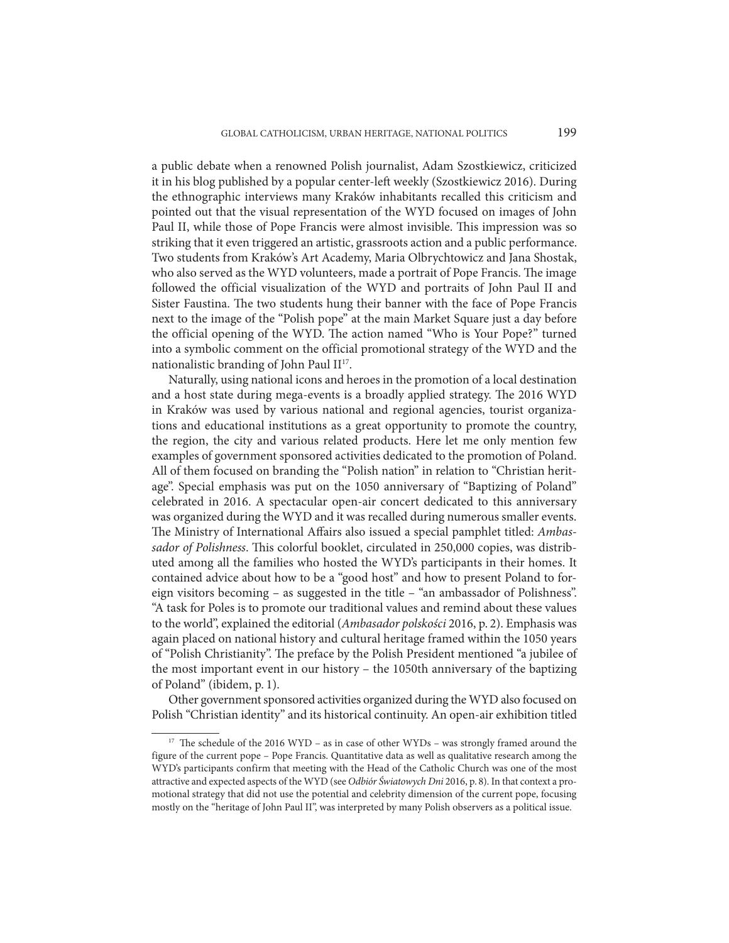a public debate when a renowned Polish journalist, Adam Szostkiewicz, criticized it in his blog published by a popular center-left weekly (Szostkiewicz 2016). During the ethnographic interviews many Kraków inhabitants recalled this criticism and pointed out that the visual representation of the WYD focused on images of John Paul II, while those of Pope Francis were almost invisible. This impression was so striking that it even triggered an artistic, grassroots action and a public performance. Two students from Kraków's Art Academy, Maria Olbrychtowicz and Jana Shostak, who also served as the WYD volunteers, made a portrait of Pope Francis. The image followed the official visualization of the WYD and portraits of John Paul II and Sister Faustina. The two students hung their banner with the face of Pope Francis next to the image of the "Polish pope" at the main Market Square just a day before the official opening of the WYD. The action named "Who is Your Pope?" turned into a symbolic comment on the official promotional strategy of the WYD and the nationalistic branding of John Paul II<sup>17</sup>.

Naturally, using national icons and heroes in the promotion of a local destination and a host state during mega-events is a broadly applied strategy. The 2016 WYD in Kraków was used by various national and regional agencies, tourist organizations and educational institutions as a great opportunity to promote the country, the region, the city and various related products. Here let me only mention few examples of government sponsored activities dedicated to the promotion of Poland. All of them focused on branding the "Polish nation" in relation to "Christian heritage". Special emphasis was put on the 1050 anniversary of "Baptizing of Poland" celebrated in 2016. A spectacular open-air concert dedicated to this anniversary was organized during the WYD and it was recalled during numerous smaller events. The Ministry of International Affairs also issued a special pamphlet titled: *Ambassador of Polishness*. This colorful booklet, circulated in 250,000 copies, was distributed among all the families who hosted the WYD's participants in their homes. It contained advice about how to be a "good host" and how to present Poland to foreign visitors becoming – as suggested in the title – "an ambassador of Polishness". "A task for Poles is to promote our traditional values and remind about these values to the world", explained the editorial (*Ambasador polskości* 2016, p. 2). Emphasis was again placed on national history and cultural heritage framed within the 1050 years of "Polish Christianity". The preface by the Polish President mentioned "a jubilee of the most important event in our history – the 1050th anniversary of the baptizing of Poland" (ibidem, p. 1).

Other government sponsored activities organized during the WYD also focused on Polish "Christian identity" and its historical continuity. An open-air exhibition titled

<sup>&</sup>lt;sup>17</sup> The schedule of the 2016 WYD – as in case of other WYDs – was strongly framed around the figure of the current pope – Pope Francis. Quantitative data as well as qualitative research among the WYD's participants confirm that meeting with the Head of the Catholic Church was one of the most attractive and expected aspects of the WYD (see *Odbiór Światowych Dni* 2016, p. 8). In that context a promotional strategy that did not use the potential and celebrity dimension of the current pope, focusing mostly on the "heritage of John Paul II", was interpreted by many Polish observers as a political issue.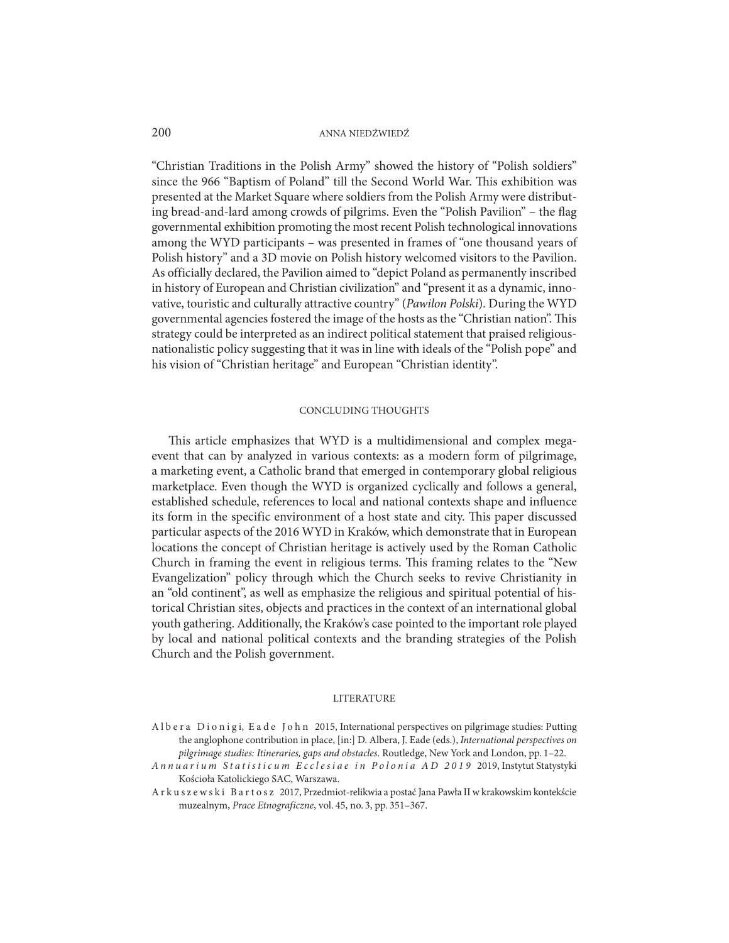"Christian Traditions in the Polish Army" showed the history of "Polish soldiers" since the 966 "Baptism of Poland" till the Second World War. This exhibition was presented at the Market Square where soldiers from the Polish Army were distributing bread-and-lard among crowds of pilgrims. Even the "Polish Pavilion" – the flag governmental exhibition promoting the most recent Polish technological innovations among the WYD participants – was presented in frames of "one thousand years of Polish history" and a 3D movie on Polish history welcomed visitors to the Pavilion. As officially declared, the Pavilion aimed to "depict Poland as permanently inscribed in history of European and Christian civilization" and "present it as a dynamic, innovative, touristic and culturally attractive country" (*Pawilon Polski*). During the WYD governmental agencies fostered the image of the hosts as the "Christian nation". This strategy could be interpreted as an indirect political statement that praised religiousnationalistic policy suggesting that it was in line with ideals of the "Polish pope" and his vision of "Christian heritage" and European "Christian identity".

#### CONCLUDING THOUGHTS

This article emphasizes that WYD is a multidimensional and complex megaevent that can by analyzed in various contexts: as a modern form of pilgrimage, a marketing event, a Catholic brand that emerged in contemporary global religious marketplace. Even though the WYD is organized cyclically and follows a general, established schedule, references to local and national contexts shape and influence its form in the specific environment of a host state and city. This paper discussed particular aspects of the 2016 WYD in Kraków, which demonstrate that in European locations the concept of Christian heritage is actively used by the Roman Catholic Church in framing the event in religious terms. This framing relates to the "New Evangelization" policy through which the Church seeks to revive Christianity in an "old continent", as well as emphasize the religious and spiritual potential of historical Christian sites, objects and practices in the context of an international global youth gathering. Additionally, the Kraków's case pointed to the important role played by local and national political contexts and the branding strategies of the Polish Church and the Polish government.

#### LITERATURE

- Albera Dionigi, Eade John 2015, International perspectives on pilgrimage studies: Putting the anglophone contribution in place, [in:] D. Albera, J. Eade (eds.), *International perspectives on pilgrimage studies: Itineraries, gaps and obstacles*. Routledge, New York and London, pp. 1–22.
- *Annuarium Statisticum Ecclesiae in Polonia AD 2019* 2019, Instytut Statystyki Kościoła Katolickiego SAC, Warszawa.
- Arkuszewski Bartosz 2017, Przedmiot-relikwia a postać Jana Pawła II w krakowskim kontekście muzealnym, *Prace Etnograficzne*, vol. 45, no. 3, pp. 351–367.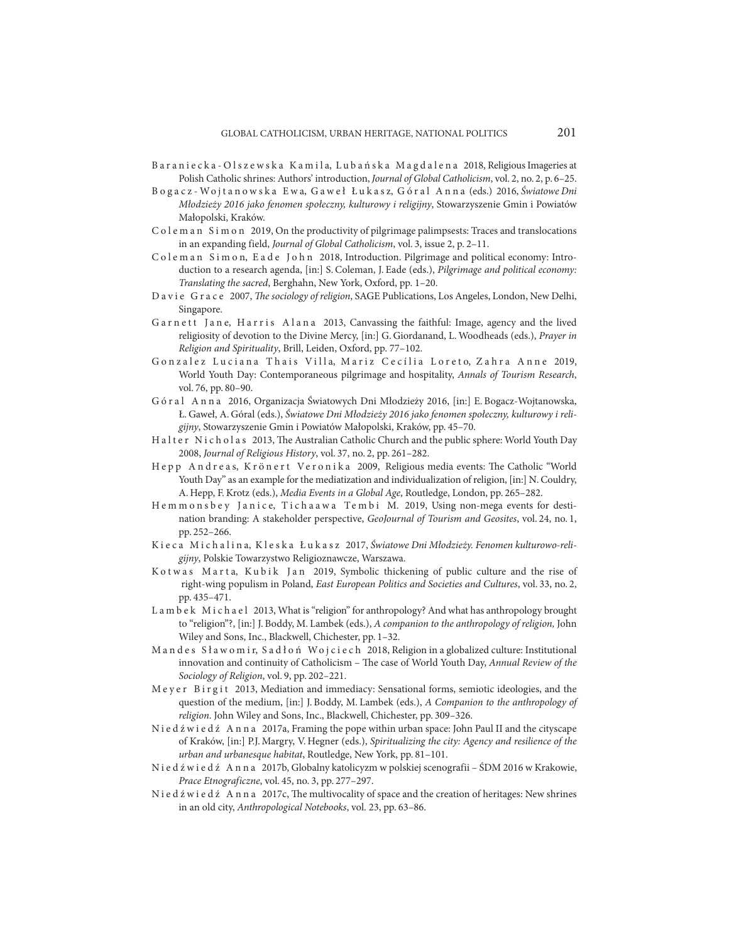- B a r a n i e c k a O l s z e w s k a K a m i l a, L u b a ń s k a M a g d a l e n a 2018, Religious Imageries at Polish Catholic shrines: Authors' introduction, *Journal of Global Catholicism*, vol. 2, no. 2, p. 6–25.
- B o g a c z Wo j t a n o w s k a E w a, G a w e ł Ł u k a s z, G ó r a l A n n a (eds.) 2016, *Światowe Dni Młodzieży 2016 jako fenomen społeczny, kulturowy i religijny*, Stowarzyszenie Gmin i Powiatów Małopolski, Kraków.
- C o l e m a n S i m o n 2019, On the productivity of pilgrimage palimpsests: Traces and translocations in an expanding field, *Journal of Global Catholicism*, vol. 3, issue 2, p. 2–11.
- C o l e m a n S i m o n, E a d e J o h n 2018, Introduction. Pilgrimage and political economy: Introduction to a research agenda, [in:] S. Coleman, J. Eade (eds.), *Pilgrimage and political economy: Translating the sacred*, Berghahn, New York, Oxford, pp. 1–20.
- Davie Grace 2007, *The sociology of religion*, SAGE Publications, Los Angeles, London, New Delhi, Singapore.
- Garnett Jane, Harris Alana 2013, Canvassing the faithful: Image, agency and the lived religiosity of devotion to the Divine Mercy, [in:] G. Giordanand, L. Woodheads (eds.), *Prayer in Religion and Spirituality*, Brill, Leiden, Oxford, pp. 77–102.
- Gonzalez Luciana Thais Villa, Mariz Cecília Loreto, Zahra Anne 2019, World Youth Day: Contemporaneous pilgrimage and hospitality, *Annals of Tourism Research*, vol. 76, pp. 80–90.
- G ó r a l Anna 2016, Organizacja Światowych Dni Młodzieży 2016, [in:] E. Bogacz-Wojtanowska, Ł. Gaweł, A. Góral (eds.), *Światowe Dni Młodzieży 2016 jako fenomen społeczny, kulturowy i religijny*, Stowarzyszenie Gmin i Powiatów Małopolski, Kraków, pp. 45–70.
- H a l t e r N i c h o l a s 2013, The Australian Catholic Church and the public sphere: World Youth Day 2008, *Journal of Religious History*, vol. 37, no. 2, pp. 261–282.
- Hepp Andreas, Krönert Veronika 2009, Religious media events: The Catholic "World Youth Day" as an example for the mediatization and individualization of religion, [in:] N. Couldry, A. Hepp, F. Krotz (eds.), *Media Events in a Global Age*, Routledge, London, pp. 265–282.
- Hemmonsbey Janice, Tichaawa Tembi M. 2019, Using non-mega events for destination branding: A stakeholder perspective, *GeoJournal of Tourism and Geosites*, vol. 24, no. 1, pp. 252–266.
- Kieca Michalina, Kleska Łukasz 2017, Światowe Dni Młodzieży. Fenomen kulturowo-reli*gijny*, Polskie Towarzystwo Religioznawcze, Warszawa.
- K o t w as Marta, Kubik Jan 2019, Symbolic thickening of public culture and the rise of right-wing populism in Poland, *East European Politics and Societies and Cultures*, vol. 33, no. 2, pp. 435–471.
- L a m b e k M i c h a e l 2013, What is "religion" for anthropology? And what has anthropology brought to "religion"?, [in:] J. Boddy, M. Lambek (eds.), *A companion to the anthropology of religion,* John Wiley and Sons, Inc., Blackwell, Chichester, pp. 1–32.
- M a n d e s S ł a w o m i r, S a d ł o ń W o j c i e c h 2018, Religion in a globalized culture: Institutional innovation and continuity of Catholicism – The case of World Youth Day, *Annual Review of the Sociology of Religion*, vol. 9, pp. 202–221.
- Meyer Birgit 2013, Mediation and immediacy: Sensational forms, semiotic ideologies, and the question of the medium, [in:] J. Boddy, M. Lambek (eds.), *A Companion to the anthropology of religion*. John Wiley and Sons, Inc., Blackwell, Chichester, pp. 309–326.
- N i e d ź w i e d ź A n n a 2017a, Framing the pope within urban space: John Paul II and the cityscape of Kraków, [in:] P.J. Margry, V. Hegner (eds.), *Spiritualizing the city: Agency and resilience of the urban and urbanesque habitat*, Routledge, New York, pp. 81–101.
- N i e d ź w i e d ź A n n a 2017b, Globalny katolicyzm w polskiej scenografii ŚDM 2016 w Krakowie, *Prace Etnograficzne*, vol. 45, no. 3, pp. 277–297.
- N i e d ź w i e d ź A n n a 2017c, The multivocality of space and the creation of heritages: New shrines in an old city, *Anthropological Notebooks*, vol. 23, pp. 63–86.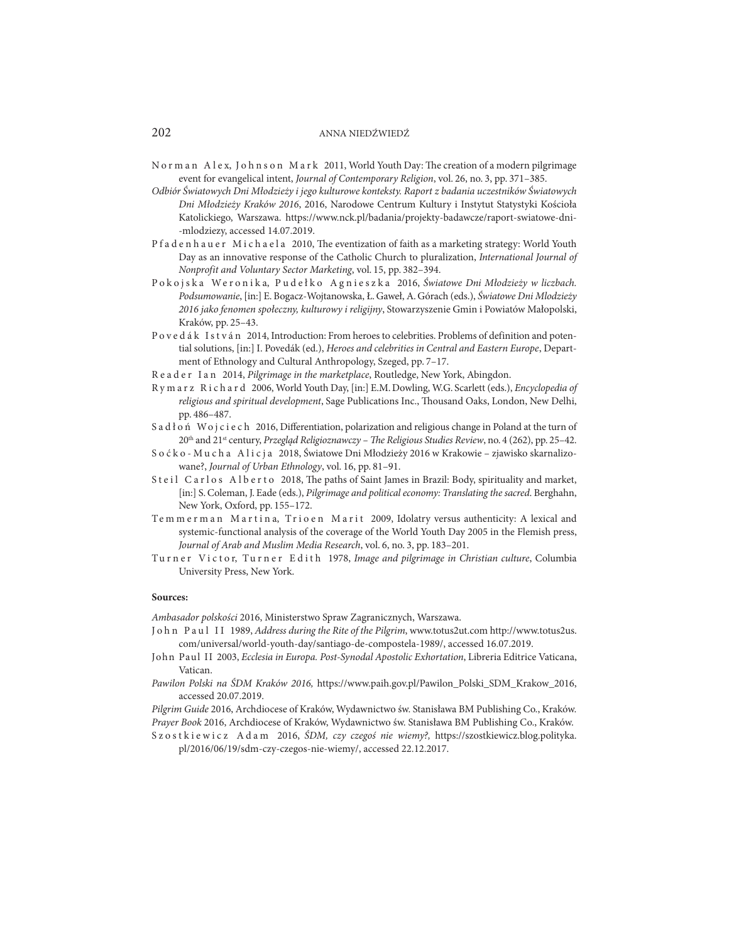- N o r m a n A l e x, J o h n s o n M a r k 2011, World Youth Day: The creation of a modern pilgrimage event for evangelical intent, *Journal of Contemporary Religion*, vol. 26, no. 3, pp. 371–385.
- *Odbiór Światowych Dni Młodzieży i jego kulturowe konteksty. Raport z badania uczestników Światowych Dni Młodzieży Kraków 2016*, 2016, Narodowe Centrum Kultury i Instytut Statystyki Kościoła Katolickiego, Warszawa. https://www.nck.pl/badania/projekty-badawcze/raport-swiatowe-dni- -mlodziezy, accessed 14.07.2019.
- Pfadenhauer Michaela 2010, The eventization of faith as a marketing strategy: World Youth Day as an innovative response of the Catholic Church to pluralization, *International Journal of Nonprofit and Voluntary Sector Marketing*, vol. 15, pp. 382–394.
- P o kojska Weronika, Pudełko Agnieszka 2016, Światowe Dni Młodzieży w liczbach. *Podsumowanie*, [in:] E. Bogacz-Wojtanowska, Ł. Gaweł, A. Górach (eds.), *Światowe Dni Mlodzieży 2016 jako fenomen społeczny, kulturowy i religijny*, Stowarzyszenie Gmin i Powiatów Małopolski, Kraków, pp. 25–43.
- P o v e d á k I s t v á n 2014, Introduction: From heroes to celebrities. Problems of definition and potential solutions, [in:] I. Povedák (ed.), *Heroes and celebrities in Central and Eastern Europe*, Department of Ethnology and Cultural Anthropology, Szeged, pp. 7–17.
- Reader Ian 2014, *Pilgrimage in the marketplace*, Routledge, New York, Abingdon.
- R y m a r z R i c h a r d 2006, World Youth Day, [in:] E.M. Dowling, W.G. Scarlett (eds.), *Encyclopedia of religious and spiritual development*, Sage Publications Inc., Thousand Oaks, London, New Delhi, pp. 486–487.
- Sadłoń Wojciech 2016, Differentiation, polarization and religious change in Poland at the turn of 20th and 21st century, *Przegląd Religioznawczy – The Religious Studies Review*, no. 4 (262), pp. 25–42.
- S o ć k o M u c h a A l i c j a 2018, Światowe Dni Młodzieży 2016 w Krakowie zjawisko skarnalizowane?, *Journal of Urban Ethnology*, vol. 16, pp. 81–91.
- Steil Carlos Alberto 2018, The paths of Saint James in Brazil: Body, spirituality and market, [in:] S. Coleman, J. Eade (eds.), *Pilgrimage and political economy: Translating the sacred*. Berghahn, New York, Oxford, pp. 155–172.
- Temmerman Martina, Trioen Marit 2009, Idolatry versus authenticity: A lexical and systemic-functional analysis of the coverage of the World Youth Day 2005 in the Flemish press, *Journal of Arab and Muslim Media Research*, vol. 6, no. 3, pp. 183–201.
- Turner Victor, Turner Edith 1978, *Image and pilgrimage in Christian culture*, Columbia University Press, New York.

#### **Sources:**

*Ambasador polskości* 2016, Ministerstwo Spraw Zagranicznych, Warszawa.

- John Paul II 1989, *Address during the Rite of the Pilgrim*, www.totus2ut.com http://www.totus2us. com/universal/world-youth-day/santiago-de-compostela-1989/, accessed 16.07.2019.
- John Paul II 2003, *Ecclesia in Europa. Post-Synodal Apostolic Exhortation*, Libreria Editrice Vaticana, Vatican.
- *Pawilon Polski na ŚDM Kraków 2016,* https://www.paih.gov.pl/Pawilon\_Polski\_SDM\_Krakow\_2016, accessed 20.07.2019.

*Pilgrim Guide* 2016, Archdiocese of Kraków, Wydawnictwo św. Stanisława BM Publishing Co., Kraków. *Prayer Book* 2016, Archdiocese of Kraków, Wydawnictwo św. Stanisława BM Publishing Co., Kraków.

Szostkiewicz Adam 2016, *ŚDM, czy czegoś nie wiemy?,* https://szostkiewicz.blog.polityka. pl/2016/06/19/sdm-czy-czegos-nie-wiemy/, accessed 22.12.2017.